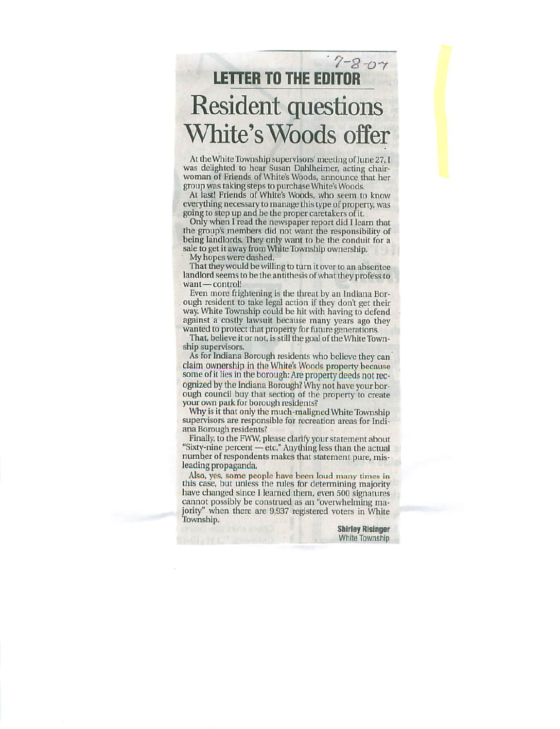## $7 - 8 - 0.7$ LETTER TO THE EDITOR Resident questions White's Woods offer

At the White Township supervisors' meeting of June 27, I was delighted to hear Susan Dahlheimer, acting chair woman of Friends of White's Woods, announce that her group was taking steps to purchase White's Woods.

At last! Friends of White's Woods, who seem to know everything necessary to manage this type ot'property, was going to step up and be the proper caretakers of it.

Only when I read the newspaper report did I learn that the group's members did not want ihe responsibility of being landlords. They only want to be the conduit for a sale to get it away from White Township ownership.

My hopes were dashed.

That they would be willing to turn it over to an absentee landlord seems to be the antithesis of what they profess to want —control!

Even more frightening is the threat by an Indiana Bor ough resident to take legal action if they don't get their way. White Township could be hit with having to defend against a costly lawsuit because many years ago they wanted to protect that property for future generations.

That, believe it or not, is still the goal of the White Township supervisors.

As for Indiana Borough residents who believe they can claim ownership in the White's Woods property because some of it lies in the borough: Are property deeds not recognized by the Indiana Borough? Why not have your bor ough council buy that section of the property <sup>10</sup> create your own park for borough residents?

Why is it that only the much-maligned White Township supervisors are responsible for recreation areas for Indi ana Borough residents?

Finally, <sup>10</sup> the FWW, please clarify your statement about "Sixty-nine percent - etc." Anything less than the actual number of respondents makes that statement pure, mis leading propaganda.

Also, yes, some people have been loud many times in this case, but unless the rules for determining majority have changed since I learned them, even 500 signatures cannot possibly be construed as an "overwhelming ma jority" when there are 9,937 registered voters in White Township.

**Shirley Risinger** White Township